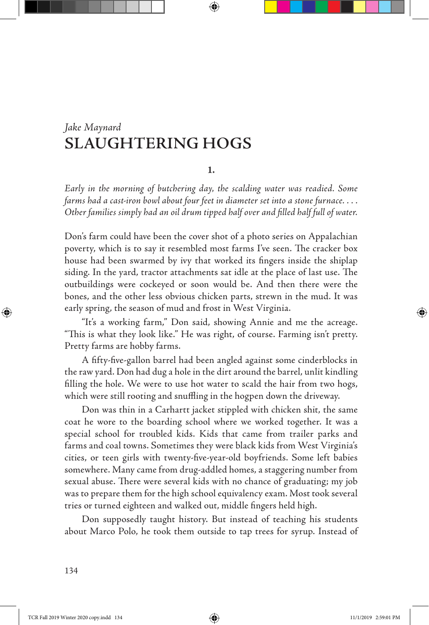# **SLAUGHTERING HOGS** *Jake Maynard*

### **1.**

⊕

*Early in the morning of butchering day, the scalding water was readied. Some farms had a cast-iron bowl about four feet in diameter set into a stone furnace. . . . Other families simply had an oil drum tipped half over and filled half full of water.*

Don's farm could have been the cover shot of a photo series on Appalachian poverty, which is to say it resembled most farms I've seen. The cracker box house had been swarmed by ivy that worked its fingers inside the shiplap siding. In the yard, tractor attachments sat idle at the place of last use. The outbuildings were cockeyed or soon would be. And then there were the bones, and the other less obvious chicken parts, strewn in the mud. It was early spring, the season of mud and frost in West Virginia.

"It's a working farm," Don said, showing Annie and me the acreage. "This is what they look like." He was right, of course. Farming isn't pretty. Pretty farms are hobby farms.

A fifty-five-gallon barrel had been angled against some cinderblocks in the raw yard. Don had dug a hole in the dirt around the barrel, unlit kindling filling the hole. We were to use hot water to scald the hair from two hogs, which were still rooting and snuffling in the hogpen down the driveway.

Don was thin in a Carhartt jacket stippled with chicken shit, the same coat he wore to the boarding school where we worked together. It was a special school for troubled kids. Kids that came from trailer parks and farms and coal towns. Sometimes they were black kids from West Virginia's cities, or teen girls with twenty-five-year-old boyfriends. Some left babies somewhere. Many came from drug-addled homes, a staggering number from sexual abuse. There were several kids with no chance of graduating; my job was to prepare them for the high school equivalency exam. Most took several tries or turned eighteen and walked out, middle fingers held high.

Don supposedly taught history. But instead of teaching his students about Marco Polo, he took them outside to tap trees for syrup. Instead of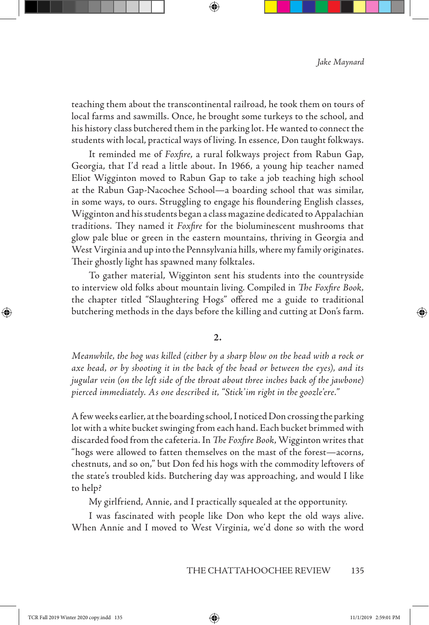teaching them about the transcontinental railroad, he took them on tours of local farms and sawmills. Once, he brought some turkeys to the school, and his history class butchered them in the parking lot. He wanted to connect the students with local, practical ways of living. In essence, Don taught folkways.

↔

It reminded me of *Foxfire*, a rural folkways project from Rabun Gap, Georgia, that I'd read a little about. In 1966, a young hip teacher named Eliot Wigginton moved to Rabun Gap to take a job teaching high school at the Rabun Gap-Nacochee School—a boarding school that was similar, in some ways, to ours. Struggling to engage his floundering English classes, Wigginton and his students began a class magazine dedicated to Appalachian traditions. They named it *Foxfire* for the bioluminescent mushrooms that glow pale blue or green in the eastern mountains, thriving in Georgia and West Virginia and up into the Pennsylvania hills, where my family originates. Their ghostly light has spawned many folktales.

To gather material, Wigginton sent his students into the countryside to interview old folks about mountain living. Compiled in *The Foxfire Book,* the chapter titled "Slaughtering Hogs" offered me a guide to traditional butchering methods in the days before the killing and cutting at Don's farm.

## **2.**

*Meanwhile, the hog was killed (either by a sharp blow on the head with a rock or axe head, or by shooting it in the back of the head or between the eyes), and its jugular vein (on the left side of the throat about three inches back of the jawbone) pierced immediately. As one described it, "Stick'im right in the goozle'ere."*

A few weeks earlier, at the boarding school, I noticed Don crossing the parking lot with a white bucket swinging from each hand. Each bucket brimmed with discarded food from the cafeteria. In *The Foxfire Book*, Wigginton writes that "hogs were allowed to fatten themselves on the mast of the forest—acorns, chestnuts, and so on," but Don fed his hogs with the commodity leftovers of the state's troubled kids. Butchering day was approaching, and would I like to help?

My girlfriend, Annie, and I practically squealed at the opportunity.

I was fascinated with people like Don who kept the old ways alive. When Annie and I moved to West Virginia, we'd done so with the word

⊕

⇔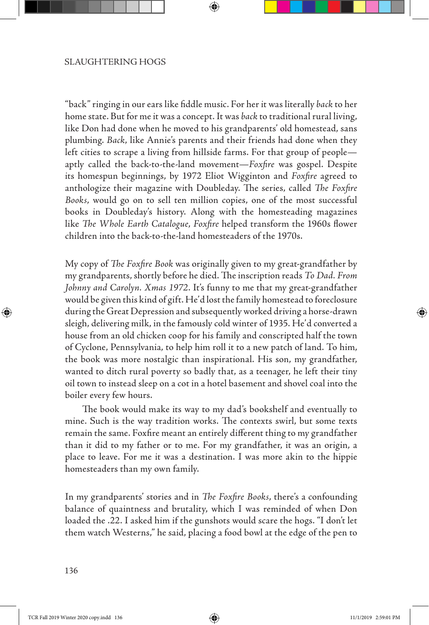"back" ringing in our ears like fiddle music. For her it was literally *back* to her home state. But for me it was a concept. It was *back* to traditional rural living, like Don had done when he moved to his grandparents' old homestead, sans plumbing. *Back*, like Annie's parents and their friends had done when they left cities to scrape a living from hillside farms. For that group of people aptly called the back-to-the-land movement—*Foxfire* was gospel. Despite its homespun beginnings, by 1972 Eliot Wigginton and *Foxfire* agreed to anthologize their magazine with Doubleday. The series, called *The Foxfire Books*, would go on to sell ten million copies, one of the most successful books in Doubleday's history. Along with the homesteading magazines like *The Whole Earth Catalogue*, *Foxfire* helped transform the 1960s flower children into the back-to-the-land homesteaders of the 1970s.

↔

My copy of *The Foxfire Book* was originally given to my great-grandfather by my grandparents, shortly before he died. The inscription reads *To Dad. From Johnny and Carolyn. Xmas 1972*. It's funny to me that my great-grandfather would be given this kind of gift. He'd lost the family homestead to foreclosure during the Great Depression and subsequently worked driving a horse-drawn sleigh, delivering milk, in the famously cold winter of 1935. He'd converted a house from an old chicken coop for his family and conscripted half the town of Cyclone, Pennsylvania, to help him roll it to a new patch of land. To him, the book was more nostalgic than inspirational. His son, my grandfather, wanted to ditch rural poverty so badly that, as a teenager, he left their tiny oil town to instead sleep on a cot in a hotel basement and shovel coal into the boiler every few hours.

The book would make its way to my dad's bookshelf and eventually to mine. Such is the way tradition works. The contexts swirl, but some texts remain the same. Foxfire meant an entirely different thing to my grandfather than it did to my father or to me. For my grandfather, it was an origin, a place to leave. For me it was a destination. I was more akin to the hippie homesteaders than my own family.

In my grandparents' stories and in *The Foxfire Books*, there's a confounding balance of quaintness and brutality, which I was reminded of when Don loaded the .22. I asked him if the gunshots would scare the hogs. "I don't let them watch Westerns," he said, placing a food bowl at the edge of the pen to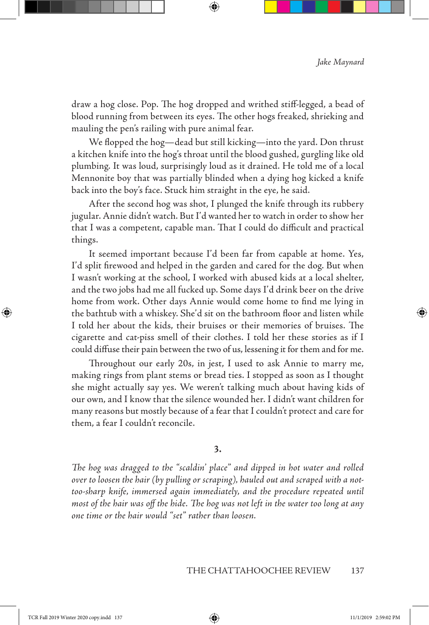draw a hog close. Pop. The hog dropped and writhed stiff-legged, a bead of blood running from between its eyes. The other hogs freaked, shrieking and mauling the pen's railing with pure animal fear.

⊕

We flopped the hog—dead but still kicking—into the yard. Don thrust a kitchen knife into the hog's throat until the blood gushed, gurgling like old plumbing. It was loud, surprisingly loud as it drained. He told me of a local Mennonite boy that was partially blinded when a dying hog kicked a knife back into the boy's face. Stuck him straight in the eye, he said.

After the second hog was shot, I plunged the knife through its rubbery jugular. Annie didn't watch. But I'd wanted her to watch in order to show her that I was a competent, capable man. That I could do difficult and practical things.

It seemed important because I'd been far from capable at home. Yes, I'd split firewood and helped in the garden and cared for the dog. But when I wasn't working at the school, I worked with abused kids at a local shelter, and the two jobs had me all fucked up. Some days I'd drink beer on the drive home from work. Other days Annie would come home to find me lying in the bathtub with a whiskey. She'd sit on the bathroom floor and listen while I told her about the kids, their bruises or their memories of bruises. The cigarette and cat-piss smell of their clothes. I told her these stories as if I could diffuse their pain between the two of us, lessening it for them and for me.

Throughout our early 20s, in jest, I used to ask Annie to marry me, making rings from plant stems or bread ties. I stopped as soon as I thought she might actually say yes. We weren't talking much about having kids of our own, and I know that the silence wounded her. I didn't want children for many reasons but mostly because of a fear that I couldn't protect and care for them, a fear I couldn't reconcile.

## **3.**

*The hog was dragged to the "scaldin' place" and dipped in hot water and rolled over to loosen the hair (by pulling or scraping), hauled out and scraped with a nottoo-sharp knife, immersed again immediately, and the procedure repeated until most of the hair was off the hide. The hog was not left in the water too long at any one time or the hair would "set" rather than loosen.*

#### THE CHATTAHOOCHEE REVIEW 137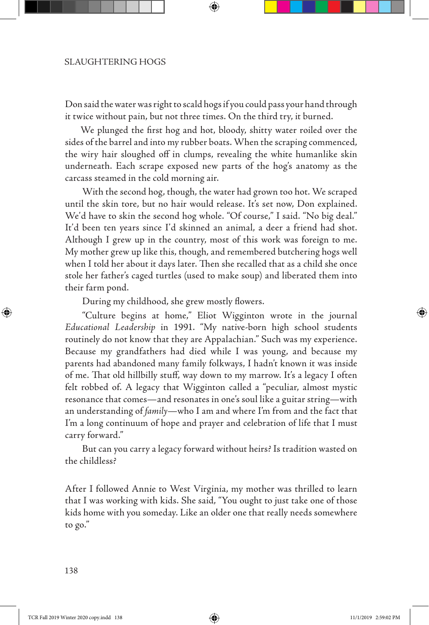Don said the water was right to scald hogs if you could pass your hand through it twice without pain, but not three times. On the third try, it burned.

↔

 We plunged the first hog and hot, bloody, shitty water roiled over the sides of the barrel and into my rubber boats. When the scraping commenced, the wiry hair sloughed off in clumps, revealing the white humanlike skin underneath. Each scrape exposed new parts of the hog's anatomy as the carcass steamed in the cold morning air.

With the second hog, though, the water had grown too hot. We scraped until the skin tore, but no hair would release. It's set now, Don explained. We'd have to skin the second hog whole. "Of course," I said. "No big deal." It'd been ten years since I'd skinned an animal, a deer a friend had shot. Although I grew up in the country, most of this work was foreign to me. My mother grew up like this, though, and remembered butchering hogs well when I told her about it days later. Then she recalled that as a child she once stole her father's caged turtles (used to make soup) and liberated them into their farm pond.

During my childhood, she grew mostly flowers.

"Culture begins at home," Eliot Wigginton wrote in the journal *Educational Leadership* in 1991. "My native-born high school students routinely do not know that they are Appalachian." Such was my experience. Because my grandfathers had died while I was young, and because my parents had abandoned many family folkways, I hadn't known it was inside of me. That old hillbilly stuff, way down to my marrow. It's a legacy I often felt robbed of. A legacy that Wigginton called a "peculiar, almost mystic resonance that comes—and resonates in one's soul like a guitar string—with an understanding of *family*—who I am and where I'm from and the fact that I'm a long continuum of hope and prayer and celebration of life that I must carry forward."

But can you carry a legacy forward without heirs? Is tradition wasted on the childless?

After I followed Annie to West Virginia, my mother was thrilled to learn that I was working with kids. She said, "You ought to just take one of those kids home with you someday. Like an older one that really needs somewhere to go."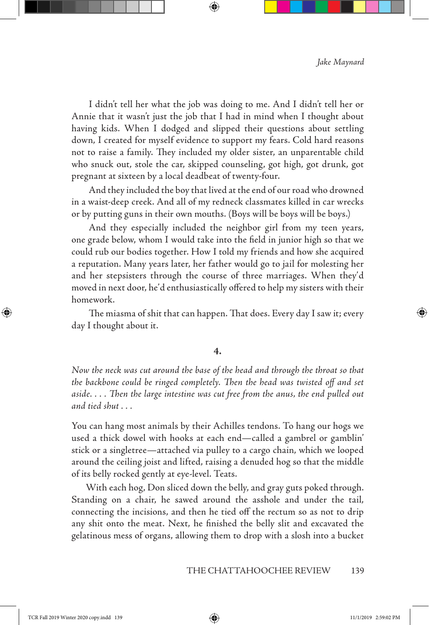I didn't tell her what the job was doing to me. And I didn't tell her or Annie that it wasn't just the job that I had in mind when I thought about having kids. When I dodged and slipped their questions about settling down, I created for myself evidence to support my fears. Cold hard reasons not to raise a family. They included my older sister, an unparentable child who snuck out, stole the car, skipped counseling, got high, got drunk, got pregnant at sixteen by a local deadbeat of twenty-four.

↔

And they included the boy that lived at the end of our road who drowned in a waist-deep creek. And all of my redneck classmates killed in car wrecks or by putting guns in their own mouths. (Boys will be boys will be boys.)

And they especially included the neighbor girl from my teen years, one grade below, whom I would take into the field in junior high so that we could rub our bodies together. How I told my friends and how she acquired a reputation. Many years later, her father would go to jail for molesting her and her stepsisters through the course of three marriages. When they'd moved in next door, he'd enthusiastically offered to help my sisters with their homework.

The miasma of shit that can happen. That does. Every day I saw it; every day I thought about it.

#### **4.**

*Now the neck was cut around the base of the head and through the throat so that the backbone could be ringed completely. Then the head was twisted off and set aside. . . . Then the large intestine was cut free from the anus, the end pulled out and tied shut . . .*

You can hang most animals by their Achilles tendons. To hang our hogs we used a thick dowel with hooks at each end—called a gambrel or gamblin' stick or a singletree—attached via pulley to a cargo chain, which we looped around the ceiling joist and lifted, raising a denuded hog so that the middle of its belly rocked gently at eye-level. Teats.

 With each hog, Don sliced down the belly, and gray guts poked through. Standing on a chair, he sawed around the asshole and under the tail, connecting the incisions, and then he tied off the rectum so as not to drip any shit onto the meat. Next, he finished the belly slit and excavated the gelatinous mess of organs, allowing them to drop with a slosh into a bucket

⊕

⇔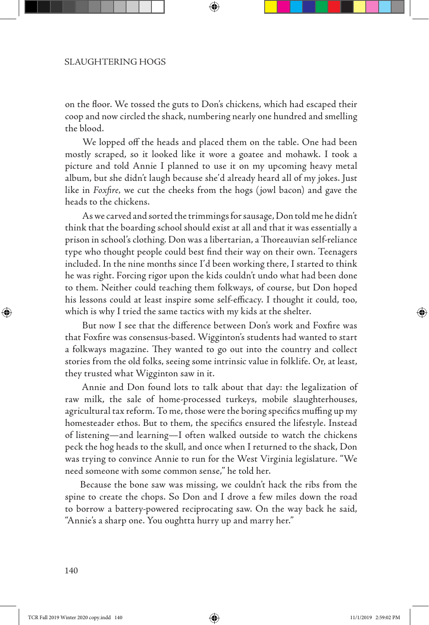on the floor. We tossed the guts to Don's chickens, which had escaped their coop and now circled the shack, numbering nearly one hundred and smelling the blood.

 We lopped off the heads and placed them on the table. One had been mostly scraped, so it looked like it wore a goatee and mohawk. I took a picture and told Annie I planned to use it on my upcoming heavy metal album, but she didn't laugh because she'd already heard all of my jokes. Just like in *Foxfire,* we cut the cheeks from the hogs (jowl bacon) and gave the heads to the chickens.

As we carved and sorted the trimmings for sausage, Don told me he didn't think that the boarding school should exist at all and that it was essentially a prison in school's clothing. Don was a libertarian, a Thoreauvian self-reliance type who thought people could best find their way on their own. Teenagers included. In the nine months since I'd been working there, I started to think he was right. Forcing rigor upon the kids couldn't undo what had been done to them. Neither could teaching them folkways, of course, but Don hoped his lessons could at least inspire some self-efficacy. I thought it could, too, which is why I tried the same tactics with my kids at the shelter.

But now I see that the difference between Don's work and Foxfire was that Foxfire was consensus-based. Wigginton's students had wanted to start a folkways magazine. They wanted to go out into the country and collect stories from the old folks, seeing some intrinsic value in folklife. Or, at least, they trusted what Wigginton saw in it.

 Annie and Don found lots to talk about that day: the legalization of raw milk, the sale of home-processed turkeys, mobile slaughterhouses, agricultural tax reform. To me, those were the boring specifics muffing up my homesteader ethos. But to them, the specifics ensured the lifestyle. Instead of listening—and learning—I often walked outside to watch the chickens peck the hog heads to the skull, and once when I returned to the shack, Don was trying to convince Annie to run for the West Virginia legislature. "We need someone with some common sense," he told her.

 Because the bone saw was missing, we couldn't hack the ribs from the spine to create the chops. So Don and I drove a few miles down the road to borrow a battery-powered reciprocating saw. On the way back he said, "Annie's a sharp one. You oughtta hurry up and marry her."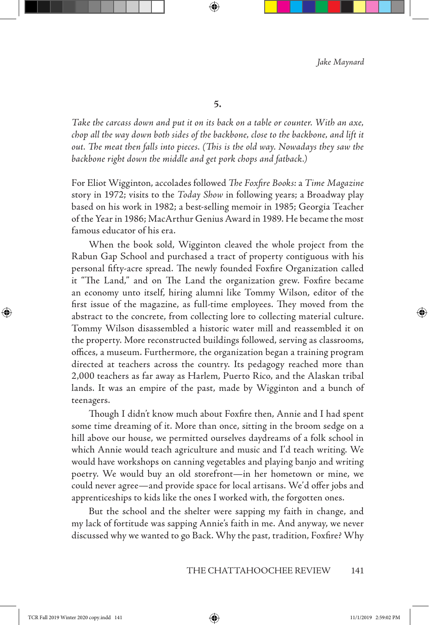**5.**

↔

*Take the carcass down and put it on its back on a table or counter. With an axe, chop all the way down both sides of the backbone, close to the backbone, and lift it out. The meat then falls into pieces. (This is the old way. Nowadays they saw the backbone right down the middle and get pork chops and fatback.)*

For Eliot Wigginton, accolades followed *The Foxfire Books:* a *Time Magazine*  story in 1972; visits to the *Today Show* in following years; a Broadway play based on his work in 1982; a best-selling memoir in 1985; Georgia Teacher of the Year in 1986; MacArthur Genius Award in 1989. He became the most famous educator of his era.

When the book sold, Wigginton cleaved the whole project from the Rabun Gap School and purchased a tract of property contiguous with his personal fifty-acre spread. The newly founded Foxfire Organization called it "The Land," and on The Land the organization grew. Foxfire became an economy unto itself, hiring alumni like Tommy Wilson, editor of the first issue of the magazine, as full-time employees. They moved from the abstract to the concrete, from collecting lore to collecting material culture. Tommy Wilson disassembled a historic water mill and reassembled it on the property. More reconstructed buildings followed, serving as classrooms, offices, a museum. Furthermore, the organization began a training program directed at teachers across the country. Its pedagogy reached more than 2,000 teachers as far away as Harlem, Puerto Rico, and the Alaskan tribal lands. It was an empire of the past, made by Wigginton and a bunch of teenagers.

Though I didn't know much about Foxfire then, Annie and I had spent some time dreaming of it. More than once, sitting in the broom sedge on a hill above our house, we permitted ourselves daydreams of a folk school in which Annie would teach agriculture and music and I'd teach writing. We would have workshops on canning vegetables and playing banjo and writing poetry. We would buy an old storefront—in her hometown or mine, we could never agree—and provide space for local artisans. We'd offer jobs and apprenticeships to kids like the ones I worked with, the forgotten ones.

But the school and the shelter were sapping my faith in change, and my lack of fortitude was sapping Annie's faith in me. And anyway, we never discussed why we wanted to go Back. Why the past, tradition, Foxfire? Why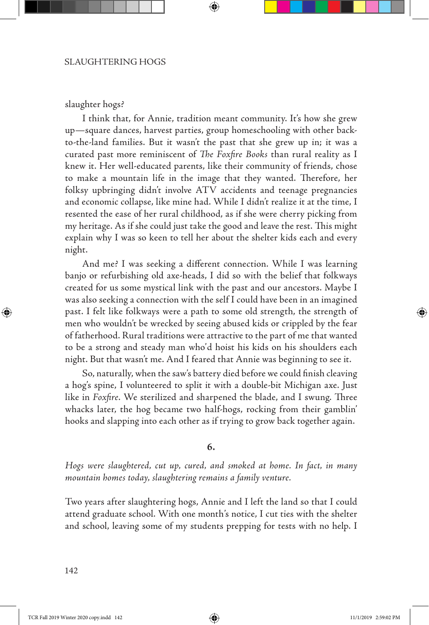#### slaughter hogs?

I think that, for Annie, tradition meant community. It's how she grew up—square dances, harvest parties, group homeschooling with other backto-the-land families. But it wasn't the past that she grew up in; it was a curated past more reminiscent of *The Foxfire Books* than rural reality as I knew it. Her well-educated parents, like their community of friends, chose to make a mountain life in the image that they wanted. Therefore, her folksy upbringing didn't involve ATV accidents and teenage pregnancies and economic collapse, like mine had. While I didn't realize it at the time, I resented the ease of her rural childhood, as if she were cherry picking from my heritage. As if she could just take the good and leave the rest. This might explain why I was so keen to tell her about the shelter kids each and every night.

↔

And me? I was seeking a different connection. While I was learning banjo or refurbishing old axe-heads, I did so with the belief that folkways created for us some mystical link with the past and our ancestors. Maybe I was also seeking a connection with the self I could have been in an imagined past. I felt like folkways were a path to some old strength, the strength of men who wouldn't be wrecked by seeing abused kids or crippled by the fear of fatherhood. Rural traditions were attractive to the part of me that wanted to be a strong and steady man who'd hoist his kids on his shoulders each night. But that wasn't me. And I feared that Annie was beginning to see it.

So, naturally, when the saw's battery died before we could finish cleaving a hog's spine, I volunteered to split it with a double-bit Michigan axe. Just like in *Foxfire*. We sterilized and sharpened the blade, and I swung. Three whacks later, the hog became two half-hogs, rocking from their gamblin' hooks and slapping into each other as if trying to grow back together again.

## **6.**

*Hogs were slaughtered, cut up, cured, and smoked at home. In fact, in many mountain homes today, slaughtering remains a family venture.* 

Two years after slaughtering hogs, Annie and I left the land so that I could attend graduate school. With one month's notice, I cut ties with the shelter and school, leaving some of my students prepping for tests with no help. I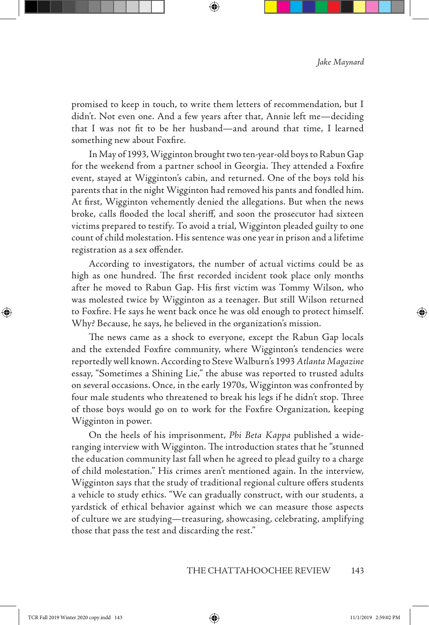promised to keep in touch, to write them letters of recommendation, but I didn't. Not even one. And a few years after that, Annie left me—deciding that I was not fit to be her husband—and around that time, I learned something new about Foxfire*.*

↔

In May of 1993, Wigginton brought two ten-year-old boys to Rabun Gap for the weekend from a partner school in Georgia. They attended a Foxfire event, stayed at Wigginton's cabin, and returned. One of the boys told his parents that in the night Wigginton had removed his pants and fondled him. At first, Wigginton vehemently denied the allegations. But when the news broke, calls flooded the local sheriff, and soon the prosecutor had sixteen victims prepared to testify. To avoid a trial, Wigginton pleaded guilty to one count of child molestation. His sentence was one year in prison and a lifetime registration as a sex offender.

According to investigators, the number of actual victims could be as high as one hundred. The first recorded incident took place only months after he moved to Rabun Gap. His first victim was Tommy Wilson, who was molested twice by Wigginton as a teenager. But still Wilson returned to Foxfire. He says he went back once he was old enough to protect himself. Why? Because, he says, he believed in the organization's mission.

The news came as a shock to everyone, except the Rabun Gap locals and the extended Foxfire community, where Wigginton's tendencies were reportedly well known. According to Steve Walburn's 1993 *Atlanta Magazine*  essay, "Sometimes a Shining Lie," the abuse was reported to trusted adults on several occasions. Once, in the early 1970s, Wigginton was confronted by four male students who threatened to break his legs if he didn't stop. Three of those boys would go on to work for the Foxfire Organization*,* keeping Wigginton in power.

On the heels of his imprisonment, *Phi Beta Kappa* published a wideranging interview with Wigginton. The introduction states that he "stunned the education community last fall when he agreed to plead guilty to a charge of child molestation." His crimes aren't mentioned again. In the interview, Wigginton says that the study of traditional regional culture offers students a vehicle to study ethics. "We can gradually construct, with our students, a yardstick of ethical behavior against which we can measure those aspects of culture we are studying—treasuring, showcasing, celebrating, amplifying those that pass the test and discarding the rest."